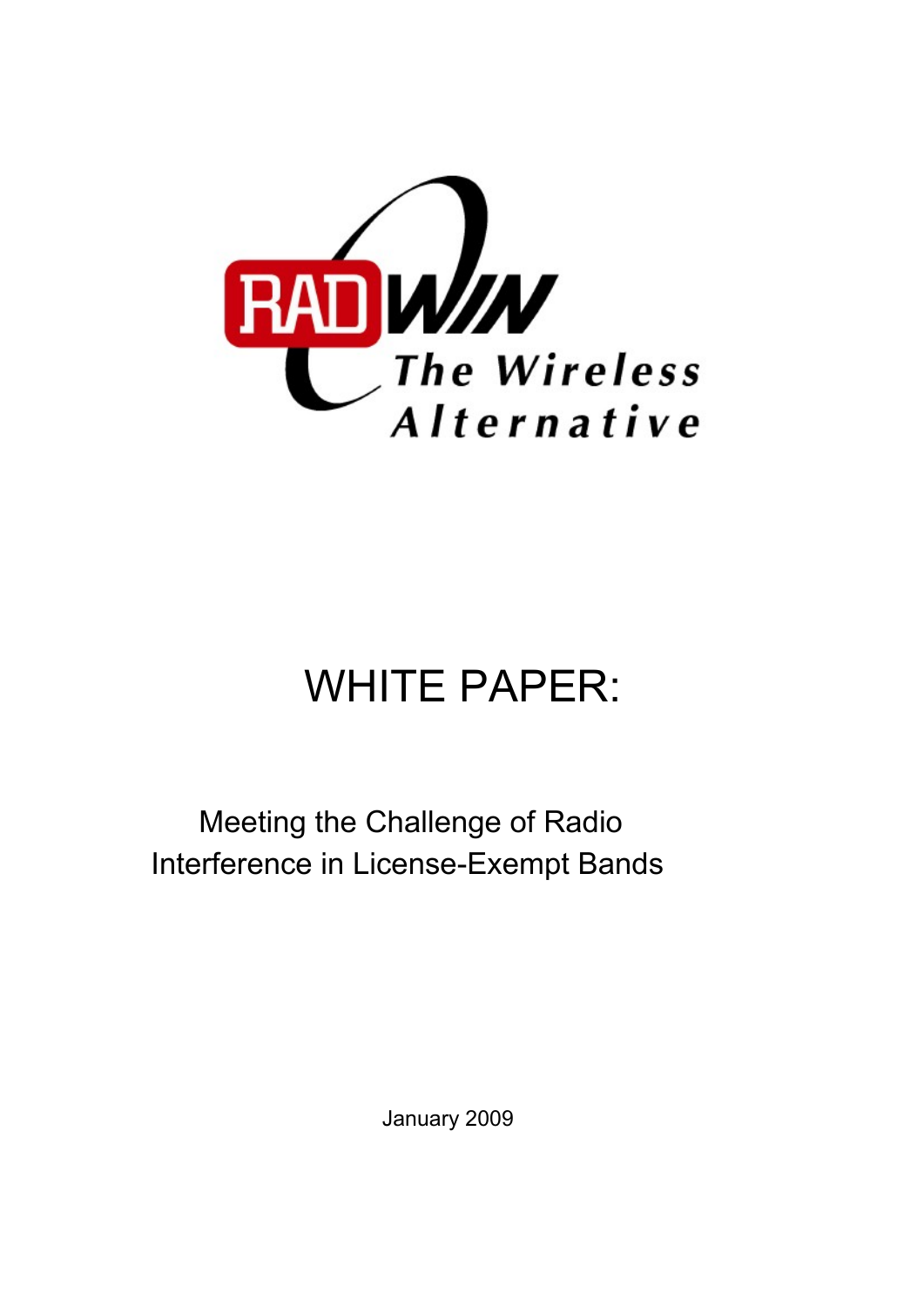

# WHITE PAPER:

Meeting the Challenge of Radio Interference in License-Exempt Bands

January 2009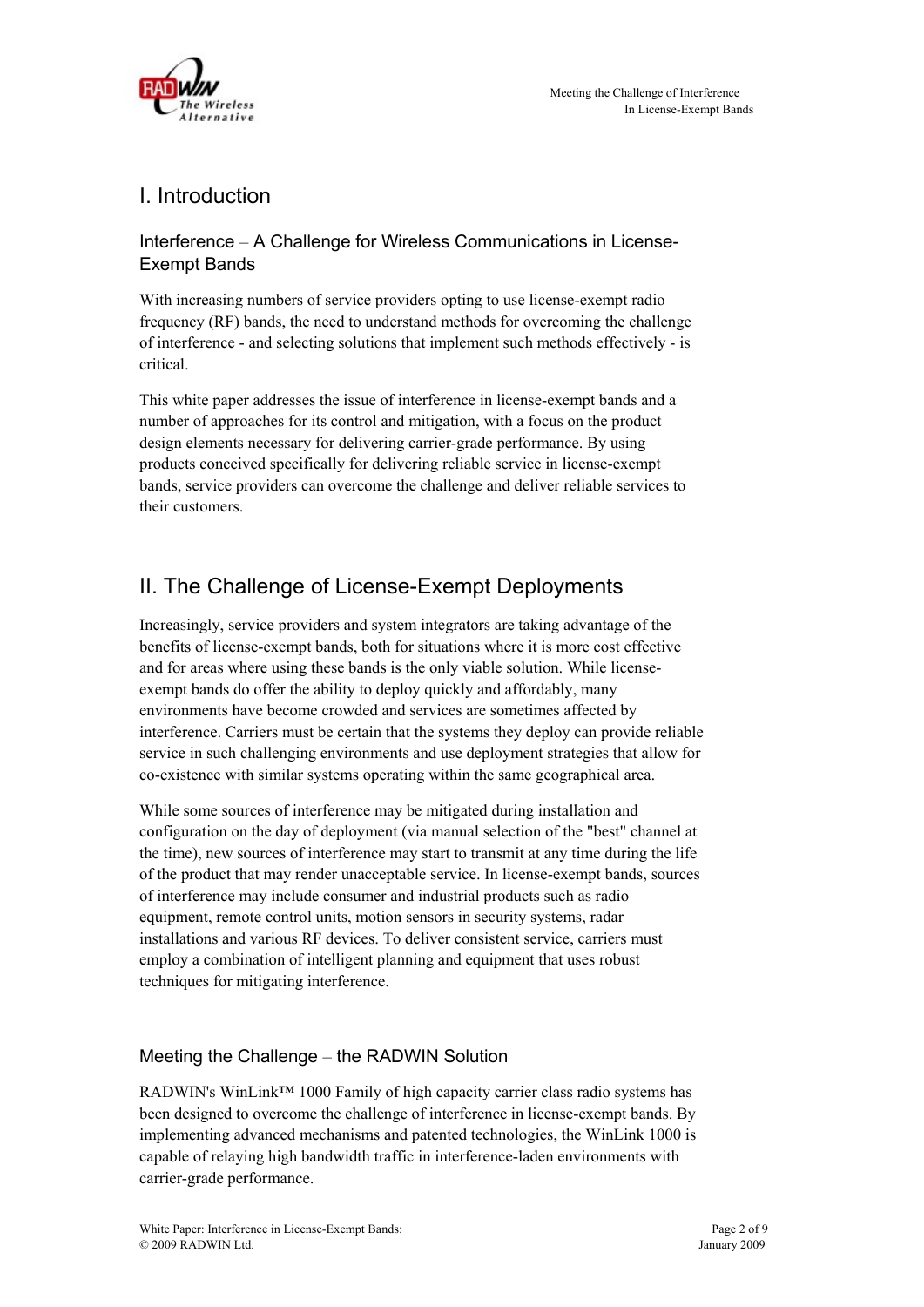

## I. Introduction

Interference – A Challenge for Wireless Communications in License-Exempt Bands

With increasing numbers of service providers opting to use license-exempt radio frequency (RF) bands, the need to understand methods for overcoming the challenge of interference - and selecting solutions that implement such methods effectively - is critical.

This white paper addresses the issue of interference in license-exempt bands and a number of approaches for its control and mitigation, with a focus on the product design elements necessary for delivering carrier-grade performance. By using products conceived specifically for delivering reliable service in license-exempt bands, service providers can overcome the challenge and deliver reliable services to their customers.

## II. The Challenge of License-Exempt Deployments

Increasingly, service providers and system integrators are taking advantage of the benefits of license-exempt bands, both for situations where it is more cost effective and for areas where using these bands is the only viable solution. While licenseexempt bands do offer the ability to deploy quickly and affordably, many environments have become crowded and services are sometimes affected by interference. Carriers must be certain that the systems they deploy can provide reliable service in such challenging environments and use deployment strategies that allow for co-existence with similar systems operating within the same geographical area.

While some sources of interference may be mitigated during installation and configuration on the day of deployment (via manual selection of the "best" channel at the time), new sources of interference may start to transmit at any time during the life of the product that may render unacceptable service. In license-exempt bands, sources of interference may include consumer and industrial products such as radio equipment, remote control units, motion sensors in security systems, radar installations and various RF devices. To deliver consistent service, carriers must employ a combination of intelligent planning and equipment that uses robust techniques for mitigating interference.

#### Meeting the Challenge – the RADWIN Solution

RADWIN's WinLink™ 1000 Family of high capacity carrier class radio systems has been designed to overcome the challenge of interference in license-exempt bands. By implementing advanced mechanisms and patented technologies, the WinLink 1000 is capable of relaying high bandwidth traffic in interference-laden environments with carrier-grade performance.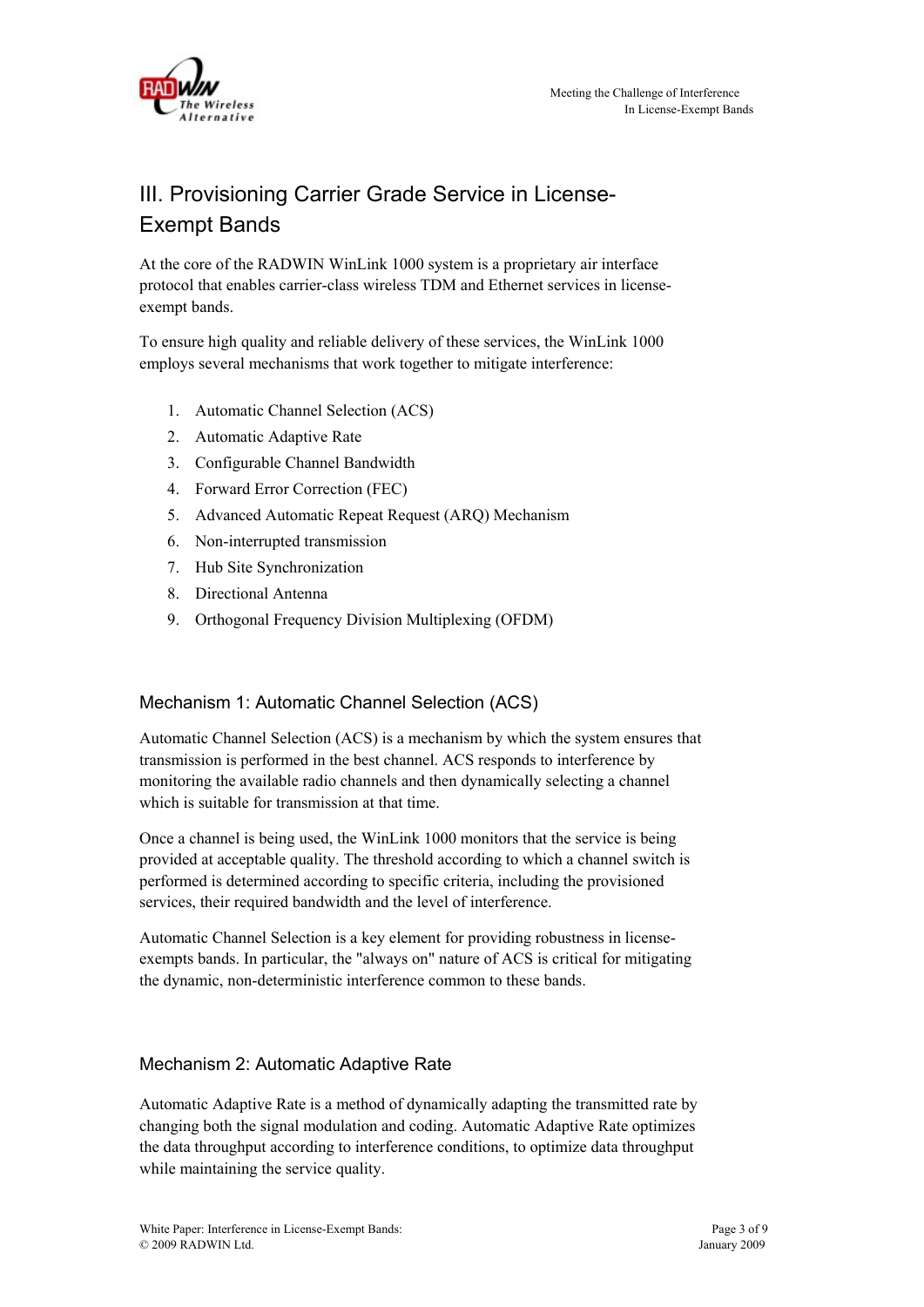

## III. Provisioning Carrier Grade Service in License-Exempt Bands

At the core of the RADWIN WinLink 1000 system is a proprietary air interface protocol that enables carrier-class wireless TDM and Ethernet services in licenseexempt bands.

To ensure high quality and reliable delivery of these services, the WinLink 1000 employs several mechanisms that work together to mitigate interference:

- 1. Automatic Channel Selection (ACS)
- 2. Automatic Adaptive Rate
- 3. Configurable Channel Bandwidth
- 4. Forward Error Correction (FEC)
- 5. Advanced Automatic Repeat Request (ARQ) Mechanism
- 6. Non-interrupted transmission
- 7. Hub Site Synchronization
- 8. Directional Antenna
- 9. Orthogonal Frequency Division Multiplexing (OFDM)

#### Mechanism 1: Automatic Channel Selection (ACS)

Automatic Channel Selection (ACS) is a mechanism by which the system ensures that transmission is performed in the best channel. ACS responds to interference by monitoring the available radio channels and then dynamically selecting a channel which is suitable for transmission at that time.

Once a channel is being used, the WinLink 1000 monitors that the service is being provided at acceptable quality. The threshold according to which a channel switch is performed is determined according to specific criteria, including the provisioned services, their required bandwidth and the level of interference.

Automatic Channel Selection is a key element for providing robustness in licenseexempts bands. In particular, the "always on" nature of ACS is critical for mitigating the dynamic, non-deterministic interference common to these bands.

#### Mechanism 2: Automatic Adaptive Rate

Automatic Adaptive Rate is a method of dynamically adapting the transmitted rate by changing both the signal modulation and coding. Automatic Adaptive Rate optimizes the data throughput according to interference conditions, to optimize data throughput while maintaining the service quality.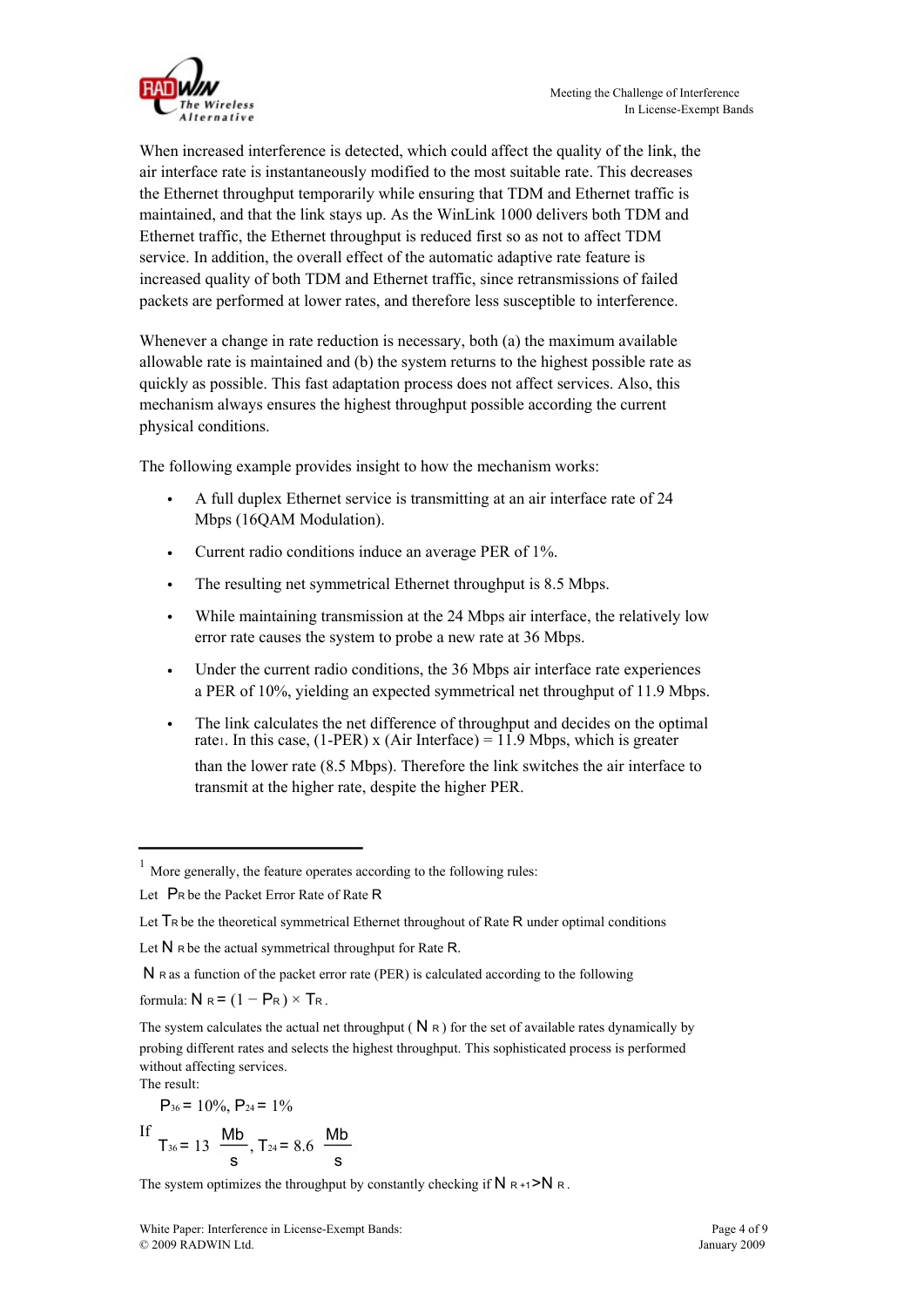

When increased interference is detected, which could affect the quality of the link, the air interface rate is instantaneously modified to the most suitable rate. This decreases the Ethernet throughput temporarily while ensuring that TDM and Ethernet traffic is maintained, and that the link stays up. As the WinLink 1000 delivers both TDM and Ethernet traffic, the Ethernet throughput is reduced first so as not to affect TDM service. In addition, the overall effect of the automatic adaptive rate feature is increased quality of both TDM and Ethernet traffic, since retransmissions of failed packets are performed at lower rates, and therefore less susceptible to interference.

Whenever a change in rate reduction is necessary, both (a) the maximum available allowable rate is maintained and (b) the system returns to the highest possible rate as quickly as possible. This fast adaptation process does not affect services. Also, this mechanism always ensures the highest throughput possible according the current physical conditions.

The following example provides insight to how the mechanism works:

- A full duplex Ethernet service is transmitting at an air interface rate of 24 Mbps (16QAM Modulation).
- Current radio conditions induce an average PER of 1%.
- The resulting net symmetrical Ethernet throughput is 8.5 Mbps.
- While maintaining transmission at the 24 Mbps air interface, the relatively low error rate causes the system to probe a new rate at 36 Mbps.
- Under the current radio conditions, the 36 Mbps air interface rate experiences a PER of 10%, yielding an expected symmetrical net throughput of 11.9 Mbps.
- The link calculates the net difference of throughput and decides on the optimal rate<sub>1</sub>. In this case, (1-PER) x (Air Interface) =  $11.9$  Mbps, which is greater than the lower rate (8.5 Mbps). Therefore the link switches the air interface to transmit at the higher rate, despite the higher PER.

formula:  $N_R = (1 - P_R) \times T_R$ .

The result:

 $P_{36} = 10\%, P_{24} = 1\%$ 

$$
If T_{36} = 13 \frac{Mb}{s}, T_{24} = 8.6 \frac{Mb}{s}
$$

The system optimizes the throughput by constantly checking if  $N_{R+1}$  >N R.

More generally, the feature operates according to the following rules:

Let PR be the Packet Error Rate of Rate R

Let  $\mathsf{Tr}\,$  be the theoretical symmetrical Ethernet throughout of Rate R under optimal conditions

Let  $N$  R be the actual symmetrical throughput for Rate R.

N R as a function of the packet error rate (PER) is calculated according to the following

The system calculates the actual net throughput ( $N \nvert R$ ) for the set of available rates dynamically by probing different rates and selects the highest throughput. This sophisticated process is performed without affecting services.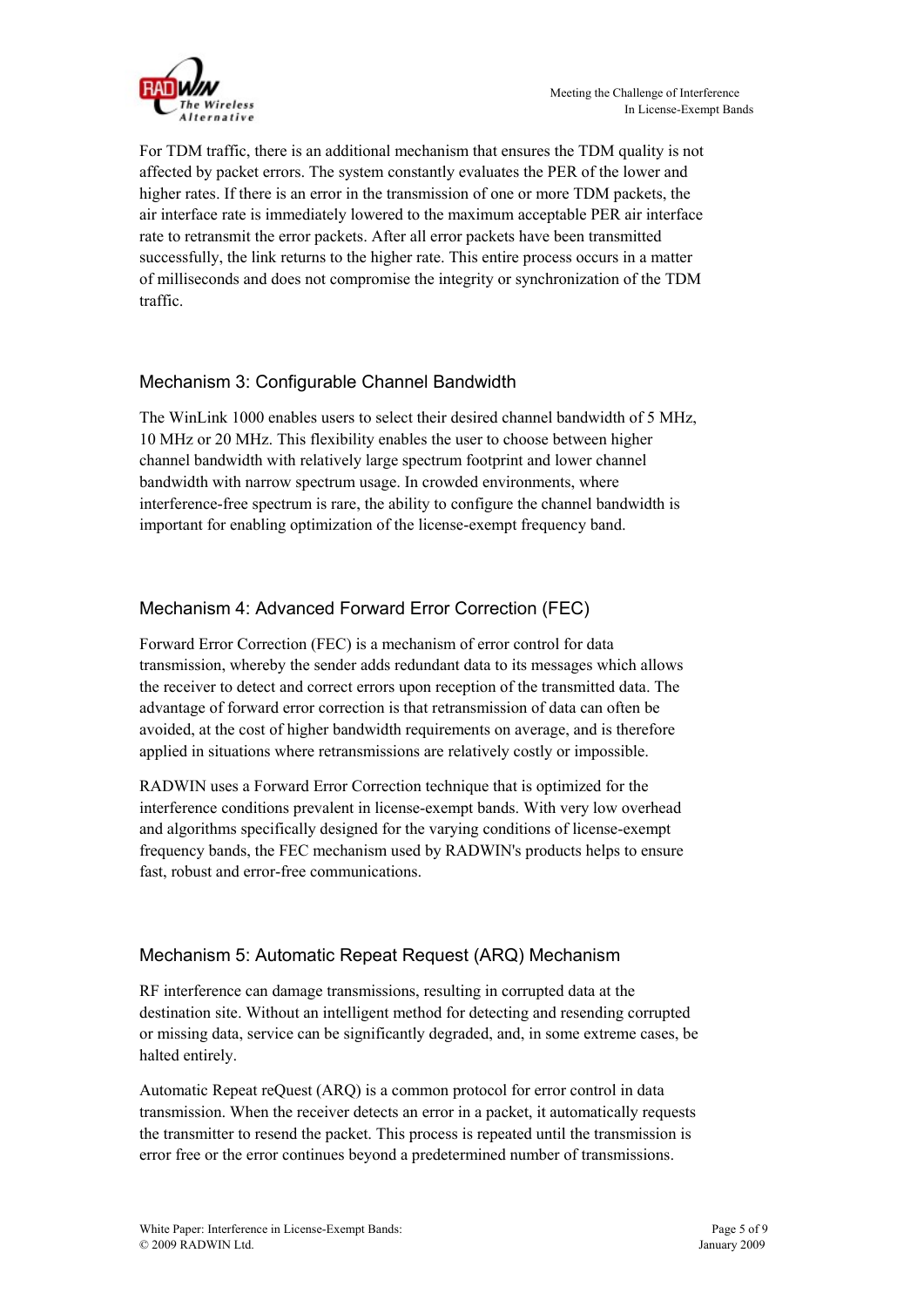

For TDM traffic, there is an additional mechanism that ensures the TDM quality is not affected by packet errors. The system constantly evaluates the PER of the lower and higher rates. If there is an error in the transmission of one or more TDM packets, the air interface rate is immediately lowered to the maximum acceptable PER air interface rate to retransmit the error packets. After all error packets have been transmitted successfully, the link returns to the higher rate. This entire process occurs in a matter of milliseconds and does not compromise the integrity or synchronization of the TDM traffic.

#### Mechanism 3: Configurable Channel Bandwidth

The WinLink 1000 enables users to select their desired channel bandwidth of 5 MHz, 10 MHz or 20 MHz. This flexibility enables the user to choose between higher channel bandwidth with relatively large spectrum footprint and lower channel bandwidth with narrow spectrum usage. In crowded environments, where interference-free spectrum is rare, the ability to configure the channel bandwidth is important for enabling optimization of the license-exempt frequency band.

#### Mechanism 4: Advanced Forward Error Correction (FEC)

Forward Error Correction (FEC) is a mechanism of error control for data transmission, whereby the sender adds redundant data to its messages which allows the receiver to detect and correct errors upon reception of the transmitted data. The advantage of forward error correction is that retransmission of data can often be avoided, at the cost of higher bandwidth requirements on average, and is therefore applied in situations where retransmissions are relatively costly or impossible.

RADWIN uses a Forward Error Correction technique that is optimized for the interference conditions prevalent in license-exempt bands. With very low overhead and algorithms specifically designed for the varying conditions of license-exempt frequency bands, the FEC mechanism used by RADWIN's products helps to ensure fast, robust and error-free communications.

#### Mechanism 5: Automatic Repeat Request (ARQ) Mechanism

RF interference can damage transmissions, resulting in corrupted data at the destination site. Without an intelligent method for detecting and resending corrupted or missing data, service can be significantly degraded, and, in some extreme cases, be halted entirely.

Automatic Repeat reQuest (ARQ) is a common protocol for error control in data transmission. When the receiver detects an error in a packet, it automatically requests the transmitter to resend the packet. This process is repeated until the transmission is error free or the error continues beyond a predetermined number of transmissions.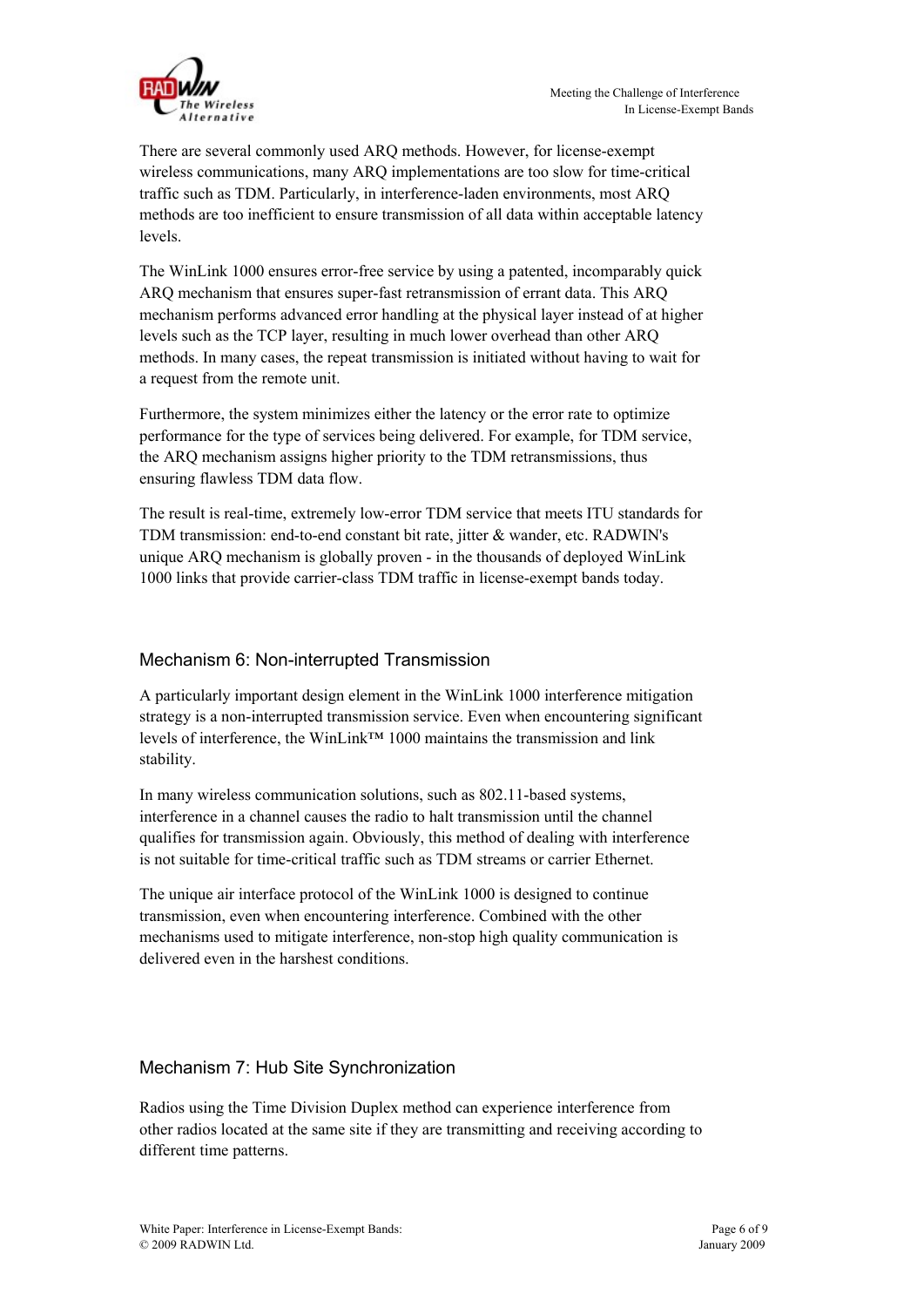

There are several commonly used ARQ methods. However, for license-exempt wireless communications, many ARQ implementations are too slow for time-critical traffic such as TDM. Particularly, in interference-laden environments, most ARQ methods are too inefficient to ensure transmission of all data within acceptable latency levels.

The WinLink 1000 ensures error-free service by using a patented, incomparably quick ARQ mechanism that ensures super-fast retransmission of errant data. This ARQ mechanism performs advanced error handling at the physical layer instead of at higher levels such as the TCP layer, resulting in much lower overhead than other ARQ methods. In many cases, the repeat transmission is initiated without having to wait for a request from the remote unit.

Furthermore, the system minimizes either the latency or the error rate to optimize performance for the type of services being delivered. For example, for TDM service, the ARQ mechanism assigns higher priority to the TDM retransmissions, thus ensuring flawless TDM data flow.

The result is real-time, extremely low-error TDM service that meets ITU standards for TDM transmission: end-to-end constant bit rate, jitter & wander, etc. RADWIN's unique ARQ mechanism is globally proven - in the thousands of deployed WinLink 1000 links that provide carrier-class TDM traffic in license-exempt bands today.

#### Mechanism 6: Non-interrupted Transmission

A particularly important design element in the WinLink 1000 interference mitigation strategy is a non-interrupted transmission service. Even when encountering significant levels of interference, the WinLink™ 1000 maintains the transmission and link stability.

In many wireless communication solutions, such as 802.11-based systems, interference in a channel causes the radio to halt transmission until the channel qualifies for transmission again. Obviously, this method of dealing with interference is not suitable for time-critical traffic such as TDM streams or carrier Ethernet.

The unique air interface protocol of the WinLink 1000 is designed to continue transmission, even when encountering interference. Combined with the other mechanisms used to mitigate interference, non-stop high quality communication is delivered even in the harshest conditions.

#### Mechanism 7: Hub Site Synchronization

Radios using the Time Division Duplex method can experience interference from other radios located at the same site if they are transmitting and receiving according to different time patterns.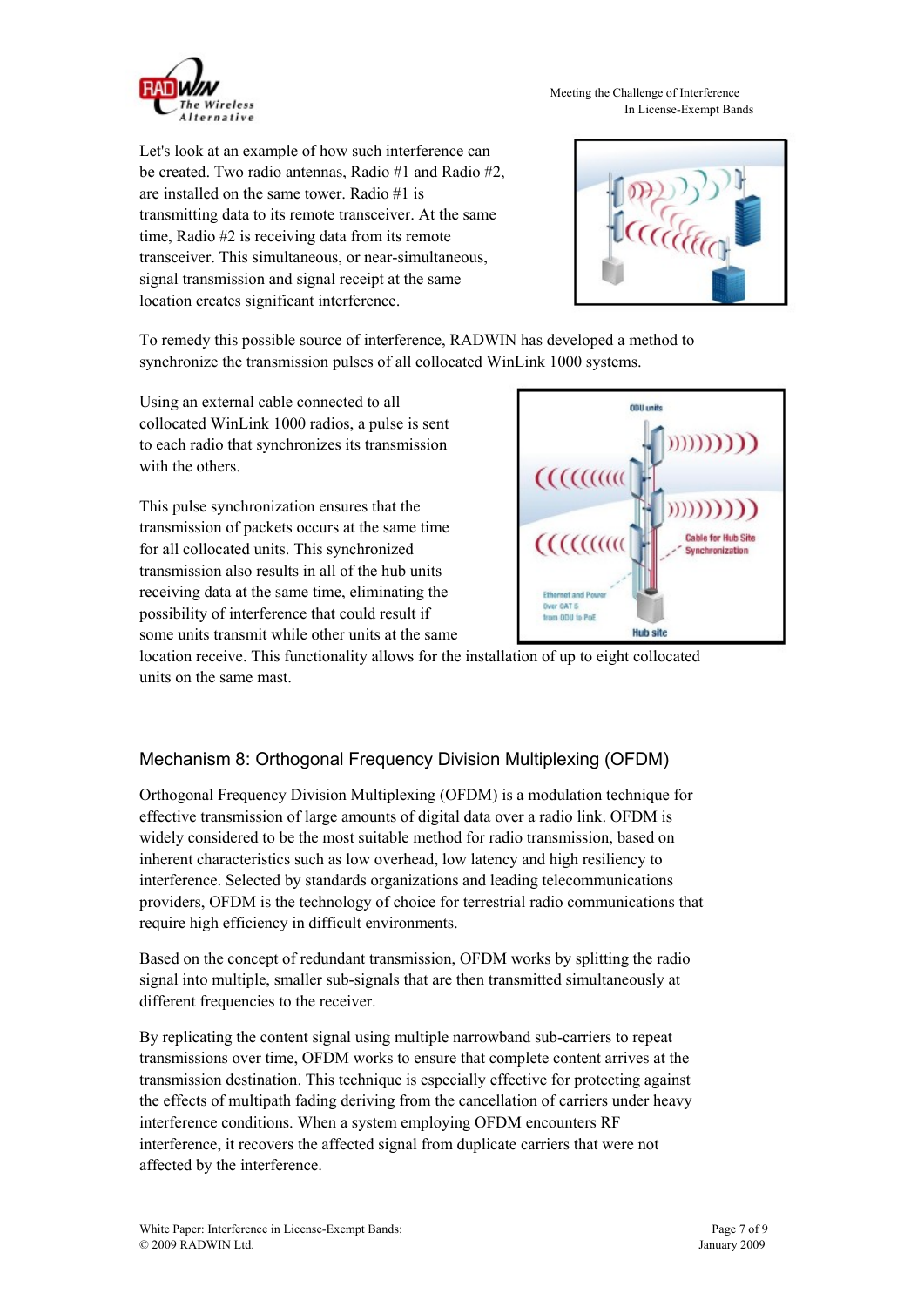

Meeting the Challenge of Interference In License-Exempt Bands

Let's look at an example of how such interference can be created. Two radio antennas, Radio #1 and Radio #2, are installed on the same tower. Radio #1 is transmitting data to its remote transceiver. At the same time, Radio #2 is receiving data from its remote transceiver. This simultaneous, or near-simultaneous, signal transmission and signal receipt at the same location creates significant interference.



To remedy this possible source of interference, RADWIN has developed a method to synchronize the transmission pulses of all collocated WinLink 1000 systems.

Using an external cable connected to all collocated WinLink 1000 radios, a pulse is sent to each radio that synchronizes its transmission with the others.

This pulse synchronization ensures that the transmission of packets occurs at the same time for all collocated units. This synchronized transmission also results in all of the hub units receiving data at the same time, eliminating the possibility of interference that could result if some units transmit while other units at the same



location receive. This functionality allows for the installation of up to eight collocated units on the same mast.

### Mechanism 8: Orthogonal Frequency Division Multiplexing (OFDM)

Orthogonal Frequency Division Multiplexing (OFDM) is a modulation technique for effective transmission of large amounts of digital data over a radio link. OFDM is widely considered to be the most suitable method for radio transmission, based on inherent characteristics such as low overhead, low latency and high resiliency to interference. Selected by standards organizations and leading telecommunications providers, OFDM is the technology of choice for terrestrial radio communications that require high efficiency in difficult environments.

Based on the concept of redundant transmission, OFDM works by splitting the radio signal into multiple, smaller sub-signals that are then transmitted simultaneously at different frequencies to the receiver.

By replicating the content signal using multiple narrowband sub-carriers to repeat transmissions over time, OFDM works to ensure that complete content arrives at the transmission destination. This technique is especially effective for protecting against the effects of multipath fading deriving from the cancellation of carriers under heavy interference conditions. When a system employing OFDM encounters RF interference, it recovers the affected signal from duplicate carriers that were not affected by the interference.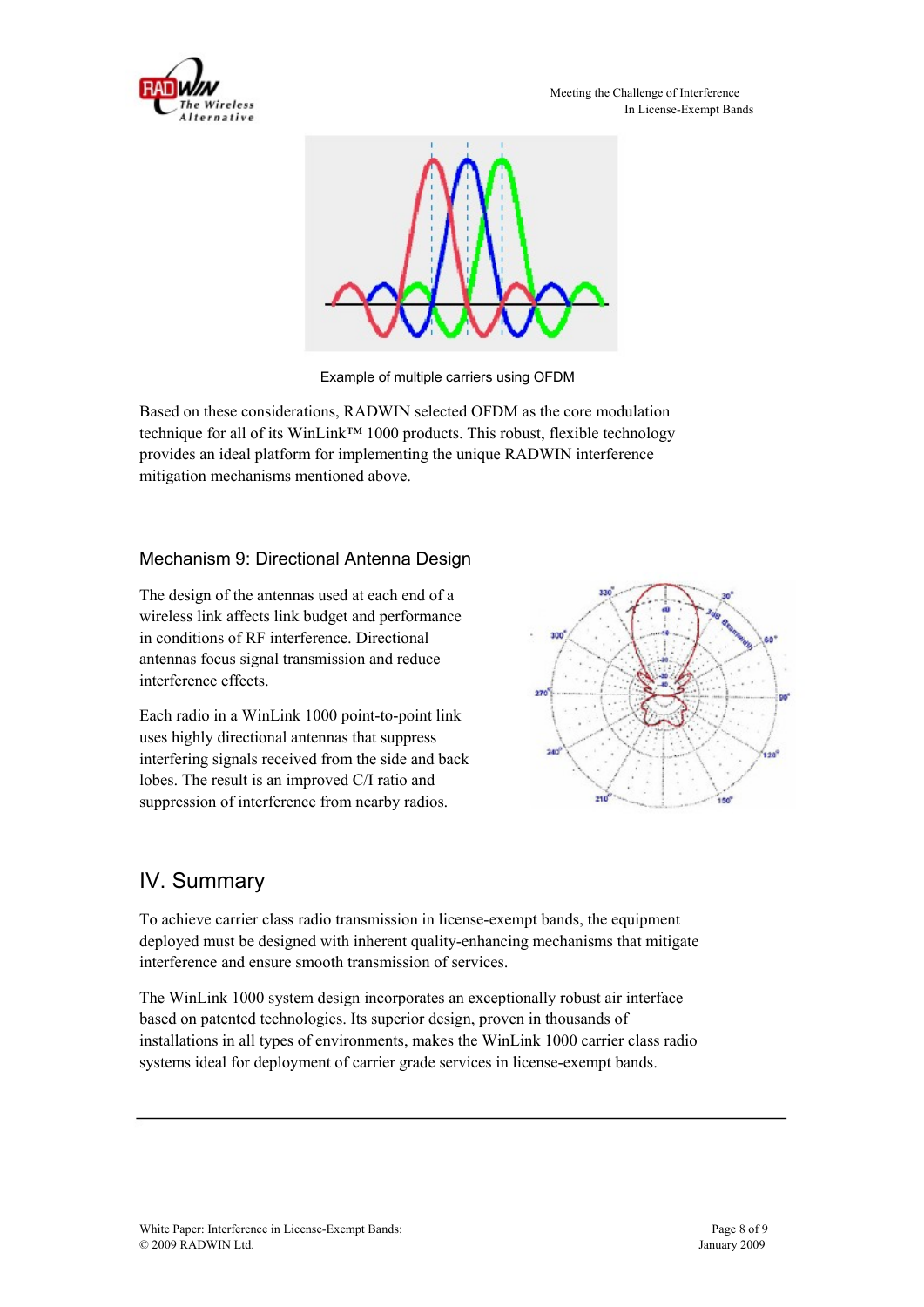



Example of multiple carriers using OFDM

Based on these considerations, RADWIN selected OFDM as the core modulation technique for all of its WinLink™ 1000 products. This robust, flexible technology provides an ideal platform for implementing the unique RADWIN interference mitigation mechanisms mentioned above.

#### Mechanism 9: Directional Antenna Design

The design of the antennas used at each end of a wireless link affects link budget and performance in conditions of RF interference. Directional antennas focus signal transmission and reduce interference effects.

Each radio in a WinLink 1000 point-to-point link uses highly directional antennas that suppress interfering signals received from the side and back lobes. The result is an improved C/I ratio and suppression of interference from nearby radios.



## IV. Summary

To achieve carrier class radio transmission in license-exempt bands, the equipment deployed must be designed with inherent quality-enhancing mechanisms that mitigate interference and ensure smooth transmission of services.

The WinLink 1000 system design incorporates an exceptionally robust air interface based on patented technologies. Its superior design, proven in thousands of installations in all types of environments, makes the WinLink 1000 carrier class radio systems ideal for deployment of carrier grade services in license-exempt bands.